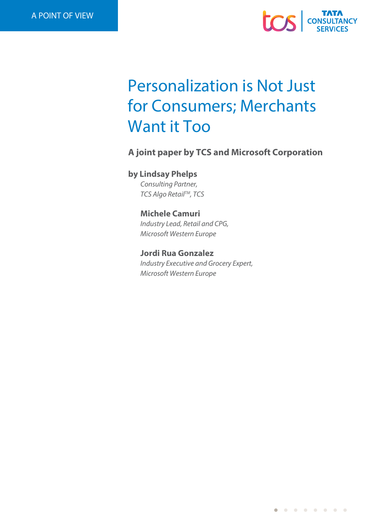

# Personalization is Not Just for Consumers; Merchants Want it Too

**A joint paper by TCS and Microsoft Corporation**

## **by Lindsay Phelps**

*Consulting Partner, TCS Algo RetailTM, TCS*

## **Michele Camuri**

*Industry Lead, Retail and CPG, Microsoft Western Europe* 

## **Jordi Rua Gonzalez**

*Industry Executive and Grocery Expert, Microsoft Western Europe*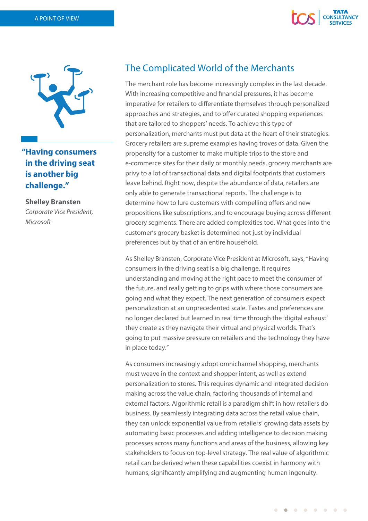



**"Having consumers in the driving seat is another big challenge."**

**Shelley Bransten** *Corporate Vice President, Microsoft*

## The Complicated World of the Merchants

The merchant role has become increasingly complex in the last decade. With increasing competitive and financial pressures, it has become imperative for retailers to differentiate themselves through personalized approaches and strategies, and to offer curated shopping experiences that are tailored to shoppers' needs. To achieve this type of personalization, merchants must put data at the heart of their strategies. Grocery retailers are supreme examples having troves of data. Given the propensity for a customer to make multiple trips to the store and e-commerce sites for their daily or monthly needs, grocery merchants are privy to a lot of transactional data and digital footprints that customers leave behind. Right now, despite the abundance of data, retailers are only able to generate transactional reports. The challenge is to determine how to lure customers with compelling offers and new propositions like subscriptions, and to encourage buying across different grocery segments. There are added complexities too. What goes into the customer's grocery basket is determined not just by individual preferences but by that of an entire household.

As Shelley Bransten, Corporate Vice President at Microsoft, says, "Having consumers in the driving seat is a big challenge. It requires understanding and moving at the right pace to meet the consumer of the future, and really getting to grips with where those consumers are going and what they expect. The next generation of consumers expect personalization at an unprecedented scale. Tastes and preferences are no longer declared but learned in real time through the 'digital exhaust' they create as they navigate their virtual and physical worlds. That's going to put massive pressure on retailers and the technology they have in place today."

As consumers increasingly adopt omnichannel shopping, merchants must weave in the context and shopper intent, as well as extend personalization to stores. This requires dynamic and integrated decision making across the value chain, factoring thousands of internal and external factors. Algorithmic retail is a paradigm shift in how retailers do business. By seamlessly integrating data across the retail value chain, they can unlock exponential value from retailers' growing data assets by automating basic processes and adding intelligence to decision making processes across many functions and areas of the business, allowing key stakeholders to focus on top-level strategy. The real value of algorithmic retail can be derived when these capabilities coexist in harmony with humans, significantly amplifying and augmenting human ingenuity.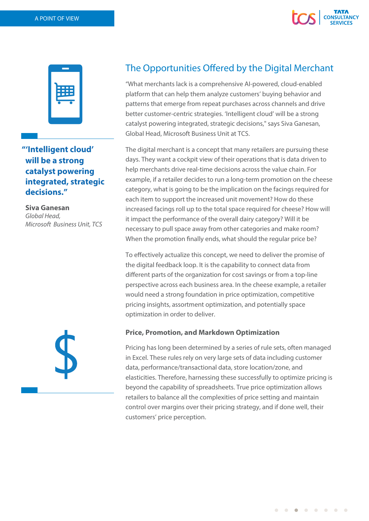



## **"'Intelligent cloud' will be a strong catalyst powering integrated, strategic decisions."**

**Siva Ganesan** *Global Head, Microsoft Business Unit, TCS*



# The Opportunities Offered by the Digital Merchant

"What merchants lack is a comprehensive AI-powered, cloud-enabled platform that can help them analyze customers' buying behavior and patterns that emerge from repeat purchases across channels and drive better customer-centric strategies. 'Intelligent cloud' will be a strong catalyst powering integrated, strategic decisions," says Siva Ganesan, Global Head, Microsoft Business Unit at TCS.

The digital merchant is a concept that many retailers are pursuing these days. They want a cockpit view of their operations that is data driven to help merchants drive real-time decisions across the value chain. For example, if a retailer decides to run a long-term promotion on the cheese category, what is going to be the implication on the facings required for each item to support the increased unit movement? How do these increased facings roll up to the total space required for cheese? How will it impact the performance of the overall dairy category? Will it be necessary to pull space away from other categories and make room? When the promotion finally ends, what should the regular price be?

To effectively actualize this concept, we need to deliver the promise of the digital feedback loop. It is the capability to connect data from different parts of the organization for cost savings or from a top-line perspective across each business area. In the cheese example, a retailer would need a strong foundation in price optimization, competitive pricing insights, assortment optimization, and potentially space optimization in order to deliver.

### **Price, Promotion, and Markdown Optimization**

Pricing has long been determined by a series of rule sets, often managed in Excel. These rules rely on very large sets of data including customer data, performance/transactional data, store location/zone, and elasticities. Therefore, harnessing these successfully to optimize pricing is beyond the capability of spreadsheets. True price optimization allows retailers to balance all the complexities of price setting and maintain control over margins over their pricing strategy, and if done well, their customers' price perception.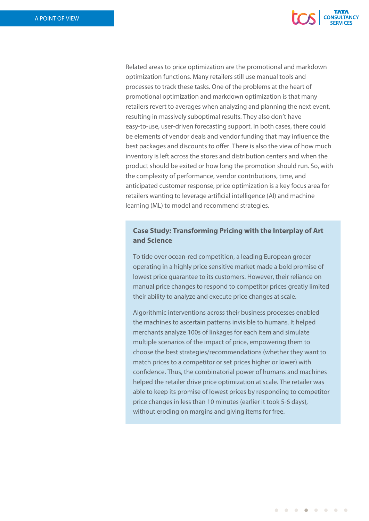

Related areas to price optimization are the promotional and markdown optimization functions. Many retailers still use manual tools and processes to track these tasks. One of the problems at the heart of promotional optimization and markdown optimization is that many retailers revert to averages when analyzing and planning the next event, resulting in massively suboptimal results. They also don't have easy-to-use, user-driven forecasting support. In both cases, there could be elements of vendor deals and vendor funding that may influence the best packages and discounts to offer. There is also the view of how much inventory is left across the stores and distribution centers and when the product should be exited or how long the promotion should run. So, with the complexity of performance, vendor contributions, time, and anticipated customer response, price optimization is a key focus area for retailers wanting to leverage artificial intelligence (AI) and machine learning (ML) to model and recommend strategies.

## **Case Study: Transforming Pricing with the Interplay of Art and Science**

To tide over ocean-red competition, a leading European grocer operating in a highly price sensitive market made a bold promise of lowest price guarantee to its customers. However, their reliance on manual price changes to respond to competitor prices greatly limited their ability to analyze and execute price changes at scale.

Algorithmic interventions across their business processes enabled the machines to ascertain patterns invisible to humans. It helped merchants analyze 100s of linkages for each item and simulate multiple scenarios of the impact of price, empowering them to choose the best strategies/recommendations (whether they want to match prices to a competitor or set prices higher or lower) with confidence. Thus, the combinatorial power of humans and machines helped the retailer drive price optimization at scale. The retailer was able to keep its promise of lowest prices by responding to competitor price changes in less than 10 minutes (earlier it took 5-6 days), without eroding on margins and giving items for free.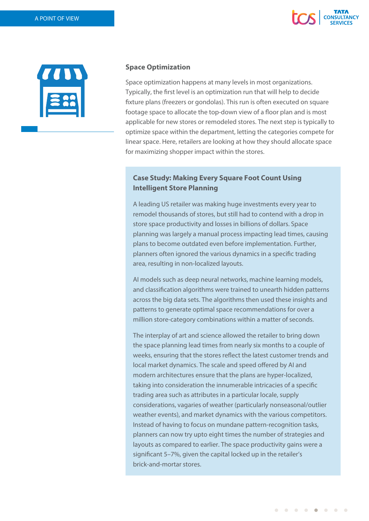



#### **Space Optimization**

Space optimization happens at many levels in most organizations. Typically, the first level is an optimization run that will help to decide fixture plans (freezers or gondolas). This run is often executed on square footage space to allocate the top-down view of a floor plan and is most applicable for new stores or remodeled stores. The next step is typically to optimize space within the department, letting the categories compete for linear space. Here, retailers are looking at how they should allocate space for maximizing shopper impact within the stores.

### **Case Study: Making Every Square Foot Count Using Intelligent Store Planning**

A leading US retailer was making huge investments every year to remodel thousands of stores, but still had to contend with a drop in store space productivity and losses in billions of dollars. Space planning was largely a manual process impacting lead times, causing plans to become outdated even before implementation. Further, planners often ignored the various dynamics in a specific trading area, resulting in non-localized layouts.

AI models such as deep neural networks, machine learning models, and classification algorithms were trained to unearth hidden patterns across the big data sets. The algorithms then used these insights and patterns to generate optimal space recommendations for over a million store-category combinations within a matter of seconds.

The interplay of art and science allowed the retailer to bring down the space planning lead times from nearly six months to a couple of weeks, ensuring that the stores reflect the latest customer trends and local market dynamics. The scale and speed offered by AI and modern architectures ensure that the plans are hyper-localized, taking into consideration the innumerable intricacies of a specific trading area such as attributes in a particular locale, supply considerations, vagaries of weather (particularly nonseasonal/outlier weather events), and market dynamics with the various competitors. Instead of having to focus on mundane pattern-recognition tasks, planners can now try upto eight times the number of strategies and layouts as compared to earlier. The space productivity gains were a significant 5-7%, given the capital locked up in the retailer's brick-and-mortar stores.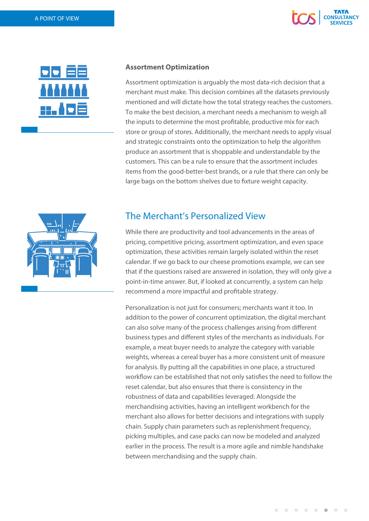



#### **Assortment Optimization**

Assortment optimization is arguably the most data-rich decision that a merchant must make. This decision combines all the datasets previously mentioned and will dictate how the total strategy reaches the customers. To make the best decision, a merchant needs a mechanism to weigh all the inputs to determine the most profitable, productive mix for each store or group of stores. Additionally, the merchant needs to apply visual and strategic constraints onto the optimization to help the algorithm produce an assortment that is shoppable and understandable by the customers. This can be a rule to ensure that the assortment includes items from the good-better-best brands, or a rule that there can only be large bags on the bottom shelves due to fixture weight capacity.



## The Merchant's Personalized View

While there are productivity and tool advancements in the areas of pricing, competitive pricing, assortment optimization, and even space optimization, these activities remain largely isolated within the reset calendar. If we go back to our cheese promotions example, we can see that if the questions raised are answered in isolation, they will only give a point-in-time answer. But, if looked at concurrently, a system can help recommend a more impactful and profitable strategy.

Personalization is not just for consumers; merchants want it too. In addition to the power of concurrent optimization, the digital merchant can also solve many of the process challenges arising from different business types and different styles of the merchants as individuals. For example, a meat buyer needs to analyze the category with variable weights, whereas a cereal buyer has a more consistent unit of measure for analysis. By putting all the capabilities in one place, a structured workflow can be established that not only satisfies the need to follow the reset calendar, but also ensures that there is consistency in the robustness of data and capabilities leveraged. Alongside the merchandising activities, having an intelligent workbench for the merchant also allows for better decisions and integrations with supply chain. Supply chain parameters such as replenishment frequency, picking multiples, and case packs can now be modeled and analyzed earlier in the process. The result is a more agile and nimble handshake between merchandising and the supply chain.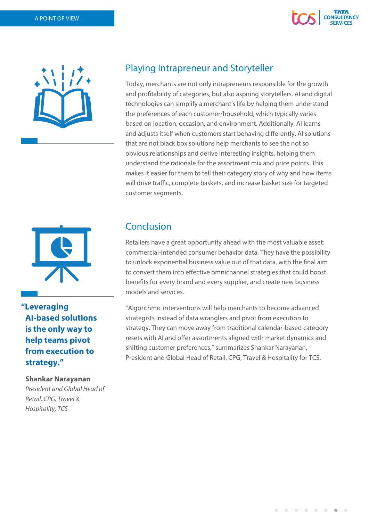



# Playing Intrapreneur and Storyteller

Today, merchants are not only intrapreneurs responsible for the growth and profitability of categories, but also aspiring storytellers. AI and digital technologies can simplify a merchant's life by helping them understand the preferences of each customer/household, which typically varies based on location, occasion, and environment. Additionally, AI learns and adjusts itself when customers start behaving differently. AI solutions that are not black box solutions help merchants to see the not so obvious relationships and derive interesting insights, helping them understand the rationale for the assortment mix and price points. This makes it easier for them to tell their category story of why and how items will drive traffic, complete baskets, and increase basket size for targeted customer segments.



**"Leveraging AI-based solutions is the only way to help teams pivot from execution to strategy."**

#### **Shankar Narayanan**

*President and Global Head of Retail, CPG, Travel & Hospitality, TCS*

## Conclusion

Retailers have a great opportunity ahead with the most valuable asset: commercial-intended consumer behavior data. They have the possibility to unlock exponential business value out of that data, with the final aim to convert them into effective omnichannel strategies that could boost benefits for every brand and every supplier, and create new business models and services.

"Algorithmic interventions will help merchants to become advanced strategists instead of data wranglers and pivot from execution to strategy. They can move away from traditional calendar-based category resets with AI and offer assortments aligned with market dynamics and shifting customer preferences," summarizes Shankar Narayanan, President and Global Head of Retail, CPG, Travel & Hospitality for TCS.